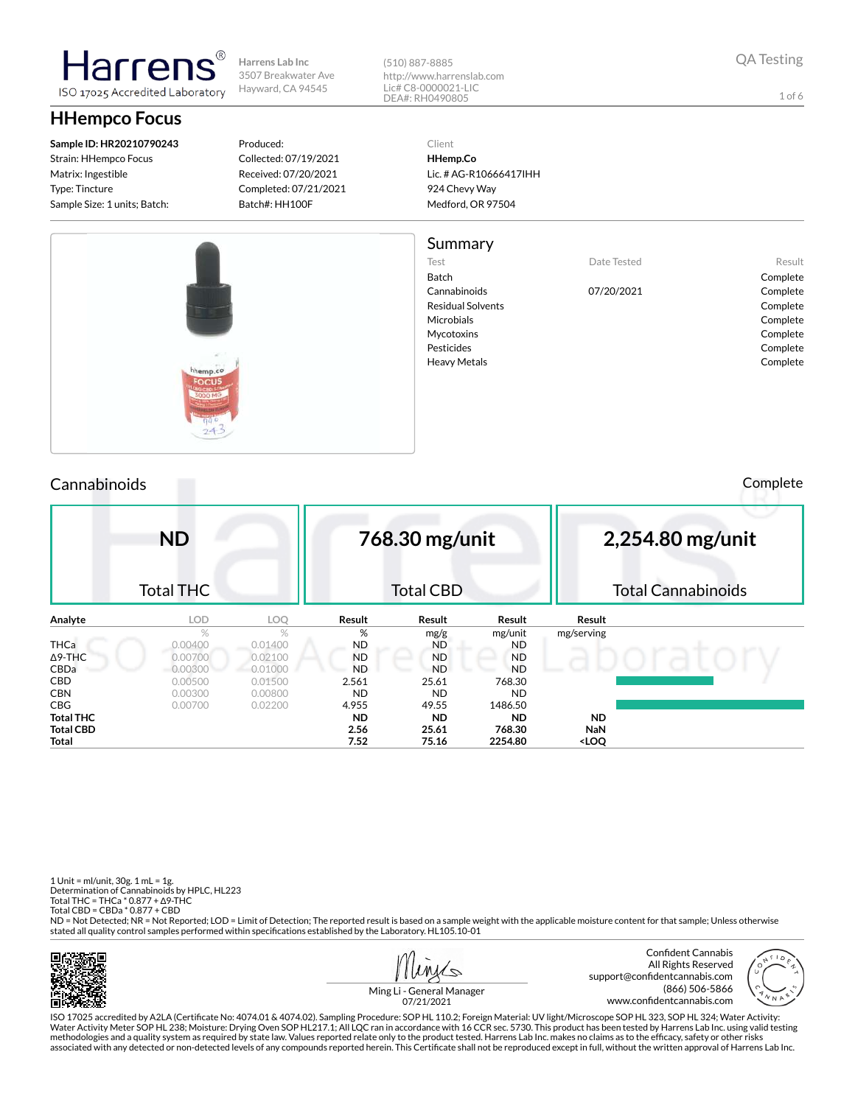

3507 Breakwater Ave Hayward, CA 94545

ISO 17025 Accredited Laboratory

# **HHempco Focus**

larrei

**Sample ID: HR20210790243** Strain: HHempco Focus Matrix: Ingestible Type: Tincture Sample Size: 1 units; Batch:

Produced: Collected: 07/19/2021 Received: 07/20/2021 Completed: 07/21/2021 Batch#: HH100F

(510) 887-8885 http://www.harrenslab.com Lic# C8-0000021-LIC DEA#: RH0490805

Client **HHemp.Co** Lic. # AG-R10666417IHH 924 Chevy Way Medford, OR 97504

### Summary

Test **Date Tested** Result

Cannabinoids 07/20/2021 Complete

Batch Complete Residual Solvents **Complete** Microbials **Complete** Mycotoxins **Complete** Pesticides Complete Heavy Metals **Complete** 



# Cannabinoids Complete

|             | <b>ND</b>        |         |           | 768.30 mg/unit   |           |            | 2,254.80 mg/unit          |
|-------------|------------------|---------|-----------|------------------|-----------|------------|---------------------------|
|             | <b>Total THC</b> |         |           | <b>Total CBD</b> |           |            | <b>Total Cannabinoids</b> |
| Analyte     | <b>LOD</b>       | LOQ     | Result    | Result           | Result    | Result     |                           |
|             | $\%$             | $\%$    | %         | mg/g             | mg/unit   | mg/serving |                           |
| <b>THCa</b> | 0.00400          | 0.01400 | <b>ND</b> | <b>ND</b>        | <b>ND</b> |            |                           |
| ∆9-THC      | 0.00700          | 0.02100 | <b>ND</b> | <b>ND</b>        | <b>ND</b> |            |                           |
| <b>CBDa</b> | $-0.00300$       | 0.01000 | ND.       | <b>ND</b>        | <b>ND</b> |            |                           |
| CBD         | 0.00500          | 0.01500 | 2.561     | 25.61            | 768.30    |            |                           |
| CBN         | 0.00300          | 0.00800 | <b>ND</b> | <b>ND</b>        | <b>ND</b> |            |                           |
| CBG         | 0.00700          | 0.02200 | 4.955     | 49.55            | 1486.50   |            |                           |
| Total THC   |                  |         | <b>ND</b> | ND.              | <b>ND</b> | <b>ND</b>  |                           |
| Total CBD   |                  |         | 2.56      | 25.61            | 768.30    | <b>NaN</b> |                           |

**Total 7.52 75.16 2254.80 <LOQ**

1 Unit = ml/unit, 30g. 1 mL = 1g. Determination of Cannabinoids by HPLC, HL223 Total THC = THCa \* 0.877 + ∆9-THC Total CBD = CBDa \* 0.877 + CBD

ND = Not Detected; NR = Not Reported; LOD = Limit of Detection; The reported result is based on a sample weight with the applicable moisture content for that sample; Unless otherwise stated all quality control samples performed within specifications established by the Laboratory. HL105.10-01





Ming Li - General Manager 07/21/2021

ISO 17025 accredited by A2LA (Certicate No: 4074.01 & 4074.02). Sampling Procedure: SOP HL 110.2; Foreign Material: UV light/Microscope SOP HL 323, SOP HL 324; Water Activity: Water Activity Meter SOP HL 238; Moisture: Drying Oven SOP HL217.1; All LQC ran in accordance with 16 CCR sec. 5730. This product has been tested by Harrens Lab Inc. using valid testing methodologies and a quality system as required by state law. Values reported relate only to the product tested. Harrens Lab Inc. makes no claims as to the efficacy, safety or other risks<br>associated with any detected or non

1 of 6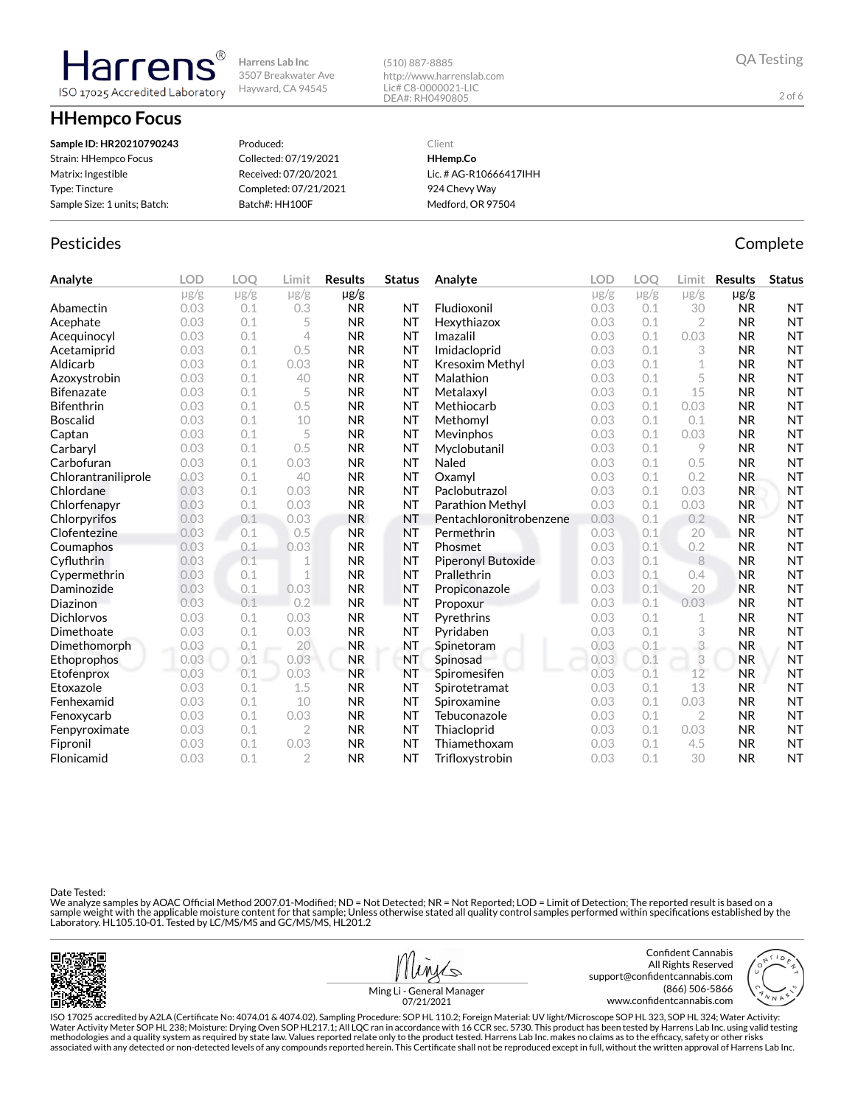**HHempco Focus**

larrer

ISO 17025 Accredited Laboratory

| Sample ID: HR20210790243     | Produced:             | Client                 |
|------------------------------|-----------------------|------------------------|
| Strain: HHempco Focus        | Collected: 07/19/2021 | HHemp.Co               |
| Matrix: Ingestible           | Received: 07/20/2021  | Lic. # AG-R10666417IHH |
| Type: Tincture               | Completed: 07/21/2021 | 924 Chevy Way          |
| Sample Size: 1 units; Batch: | Batch#: HH100F        | Medford, OR 97504      |

## Pesticides **Complete**

**Analyte LOD LOQ Limit Results Status**  $\mu$ g/g  $\mu$ g/g  $\mu$ g/g  $\mu$ g/g **Abamectin** 0.03 0.1 0.3 **NR NT** Acephate 0.03 0.1 5 NR NT Acequinocyl 0.03 0.1 4 NR NT **Acetamiprid** 0.03 0.1 0.5 NR NT Aldicarb 0.03 0.1 0.03 NR NT Azoxystrobin 0.03 0.1 40 NR NT Bifenazate 0.03 0.1 5 NR NT **Bifenthrin** 0.03 0.1 0.5 NR NT **Boscalid** 0.03 0.1 10 NR NT **Captan 12.1 0.03 0.1 5 NR NT Carbaryl 0.03 0.1 0.5 NR NT** Carbofuran 0.03 0.1 0.03 NR NT Chlorantraniliprole 0.03 0.1 40 NR NT Chlordane 0.03 0.1 0.03 NR NT Chlorfenapyr 0.03 0.1 0.03 NR NT Chlorpyrifos 0.03 0.1 0.03 NR NT Clofentezine 0.03 0.1 0.5 NR NT Coumaphos 0.03 0.1 0.03 NR NT Cyfluthrin 0.03 0.1 1 NR NT Cypermethrin 0.03 0.1 1 NR NT **Daminozide** 0.03 0.1 0.03 NR NT **Diazinon** 0.03 0.1 0.2 NR NT Dichlorvos 0.03 0.1 0.03 NR NT **Dimethoate** 0.03 0.1 0.03 NR NT Dimethomorph 0.03 0.1 20 NR NT Ethoprophos 0.03 0.1 0.03 NR NT **Etofenprox 0.03 0.1 0.03 NR NT Etoxazole** 0.03 0.1 1.5 NR NT **Fenhexamid** 0.03 0.1 10 NR NT **Fenoxycarb** 0.03 0.1 0.03 **NR NT** Fenpyroximate 0.03 0.1 2 NR NT Fipronil 0.03 0.1 0.03 NR NT Flonicamid 0.03 0.1 2 NR NT **Analyte LOD LOQ Limit Results Status**  $\mu$ g/g  $\mu$ g/g  $\mu$ g/g  $\mu$ g/g Fludioxonil 0.03 0.1 30 NR NT Hexythiazox 0.03 0.1 2 NR NT **Imazalil 11 0.03 0.1 0.03 NR NT** Imidacloprid 0.03 0.1 3 NR NT Kresoxim Methyl 0.03 0.1 1 NR NT **Malathion** 0.03 0.1 5 **NR NT** Metalaxyl 0.03 0.1 15 NR NT Methiocarb 0.03 0.1 0.03 NR NT **Methomyl 0.03 0.1 0.1 NR NT Mevinphos** 0.03 0.1 0.03 **NR NT** Myclobutanil 0.03 0.1 9 NR NT **Naled 1200 0.03 0.1 0.5 NR NT Oxamyl** 0.03 0.1 0.2 NR NT **Paclobutrazol 0.03 0.1 0.03 NR NT** Parathion Methyl 0.03 0.1 0.03 NR NT Pentachloronitrobenzene 0.03 0.1 0.2 NR NT **Permethrin 0.03 0.1 20 NR NT** Phosmet 0.03 0.1 0.2 NR NT Piperonyl Butoxide 0.03 0.1 8 NR NT **Prallethrin 1996** 0.03 0.1 0.4 **NR NT** Propiconazole 0.03 0.1 20 NR NT Propoxur 0.03 0.1 0.03 NR NT **Pyrethrins 0.03 0.1 1 NR NT** Pyridaben 0.03 0.1 3 NR NT **Spinetoram 10.03 0.1 3 NR NT** Spinosad 0.03 0.1 3 NR NT Spiromesifen 0.03 0.1 12 NR NT Spirotetramat 0.03 0.1 13 NR NT **Spiroxamine** 0.03 0.1 0.03 NR NT Tebuconazole 0.03 0.1 2 NR NT Thiacloprid 0.03 0.1 0.03 NR NT Thiamethoxam 0.03 0.1 4.5 NR NT Trifloxystrobin 0.03 0.1 30 NR NT

(510) 887-8885

http://www.harrenslab.com Lic# C8-0000021-LIC DEA#: RH0490805

Date Tested:

We analyze samples by AOAC Official Method 2007.01-Modified; ND = Not Detected; NR = Not Reported; LOD = Limit of Detection; The reported result is based on a sample weight with the applicable moisture content for that sample; Unless otherwise stated all quality control samples performed within specifications established by the<br>Laboratory. HL105.10-01. Tested by LC/MS/MS and GC/





2 of 6

Ming Li - General Manager 07/21/2021

ISO 17025 accredited by A2LA (Certicate No: 4074.01 & 4074.02). Sampling Procedure: SOP HL 110.2; Foreign Material: UV light/Microscope SOP HL 323, SOP HL 324; Water Activity: Water Activity Meter SOP HL 238; Moisture: Drying Oven SOP HL217.1; All LQC ran in accordance with 16 CCR sec. 5730. This product has been tested by Harrens Lab Inc. using valid testing methodologies and a quality system as required by state law. Values reported relate only to the product tested. Harrens Lab Inc. makes no claims as to the efcacy, safety or other risks associated with any detected or non-detected levels of any compounds reported herein. This Certificate shall not be reproduced except in full, without the written approval of Harrens Lab Inc.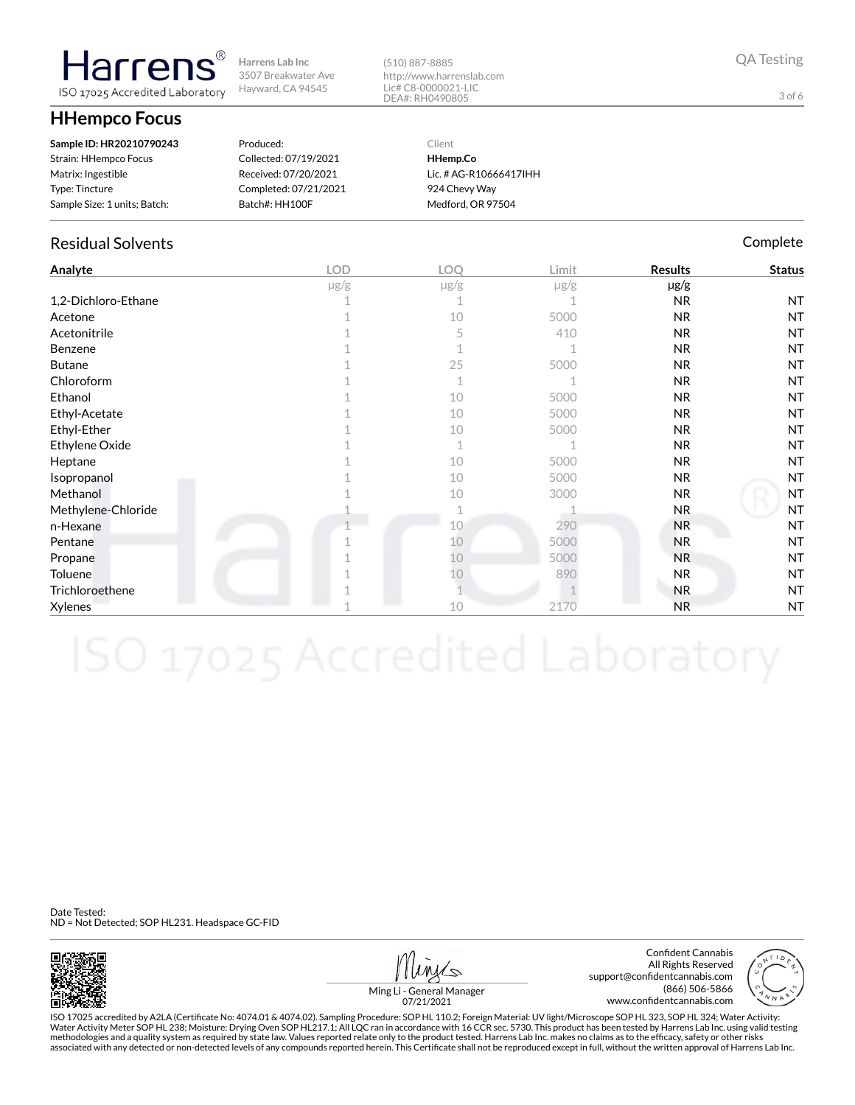**HHempco Focus**

**Harrens** ISO 17025 Accredited Laboratory

| Sample ID: HR20210790243     | Produced:             | Client                 |
|------------------------------|-----------------------|------------------------|
| Strain: HHempco Focus        | Collected: 07/19/2021 | HHemp.Co               |
| Matrix: Ingestible           | Received: 07/20/2021  | Lic. # AG-R10666417IHH |
| Type: Tincture               | Completed: 07/21/2021 | 924 Chevy Way          |
| Sample Size: 1 units; Batch: | Batch#: HH100F        | Medford, OR 97504      |

## Residual Solvents **Complete** Complete Complete Complete Complete Complete Complete

| Analyte             | LOD       | LOQ       | Limit     | <b>Results</b> | <b>Status</b> |
|---------------------|-----------|-----------|-----------|----------------|---------------|
|                     | $\mu$ g/g | $\mu$ g/g | $\mu$ g/g | µg/g           |               |
| 1,2-Dichloro-Ethane |           |           |           | <b>NR</b>      | <b>NT</b>     |
| Acetone             |           | 10        | 5000      | NR             | <b>NT</b>     |
| Acetonitrile        |           | 5         | 410       | N <sub>R</sub> | <b>NT</b>     |
| Benzene             |           |           |           | <b>NR</b>      | <b>NT</b>     |
| <b>Butane</b>       |           | 25        | 5000      | NR             | <b>NT</b>     |
| Chloroform          |           | 1         |           | <b>NR</b>      | <b>NT</b>     |
| Ethanol             |           | 10        | 5000      | <b>NR</b>      | <b>NT</b>     |
| Ethyl-Acetate       |           | 10        | 5000      | NR             | <b>NT</b>     |
| Ethyl-Ether         |           | 10        | 5000      | <b>NR</b>      | <b>NT</b>     |
| Ethylene Oxide      |           | 1         |           | <b>NR</b>      | <b>NT</b>     |
| Heptane             |           | 10        | 5000      | <b>NR</b>      | <b>NT</b>     |
| Isopropanol         |           | 10        | 5000      | NR             | <b>NT</b>     |
| Methanol            |           | 10        | 3000      | NR             | <b>NT</b>     |
| Methylene-Chloride  |           |           |           | <b>NR</b>      | <b>NT</b>     |
| n-Hexane            |           | 10        | 290       | <b>NR</b>      | <b>NT</b>     |
| Pentane             |           | 10        | 5000      | <b>NR</b>      | <b>NT</b>     |
| Propane             |           | 10        | 5000      | <b>NR</b>      | <b>NT</b>     |
| Toluene             |           | 10        | 890       | NR             | <b>NT</b>     |
| Trichloroethene     |           |           |           | <b>NR</b>      | <b>NT</b>     |
| Xylenes             |           | 10        | 2170      | <b>NR</b>      | <b>NT</b>     |

(510) 887-8885

http://www.harrenslab.com Lic# C8-0000021-LIC DEA#: RH0490805

Date Tested: ND = Not Detected; SOP HL231. Headspace GC-FID



Confident Cannabis All Rights Reserved support@confidentcannabis.com (866) 506-5866 www.confidentcannabis.com



Ming Li - General Manager 07/21/2021

ISO 17025 accredited by A2LA (Certicate No: 4074.01 & 4074.02). Sampling Procedure: SOP HL 110.2; Foreign Material: UV light/Microscope SOP HL 323, SOP HL 324; Water Activity: Water Activity Meter SOP HL 238; Moisture: Drying Oven SOP HL217.1; All LQC ran in accordance with 16 CCR sec. 5730. This product has been tested by Harrens Lab Inc. using valid testing methodologies and a quality system as required by state law. Values reported relate only to the product tested. Harrens Lab Inc. makes no claims as to the efficacy, safety or other risks<br>associated with any detected or non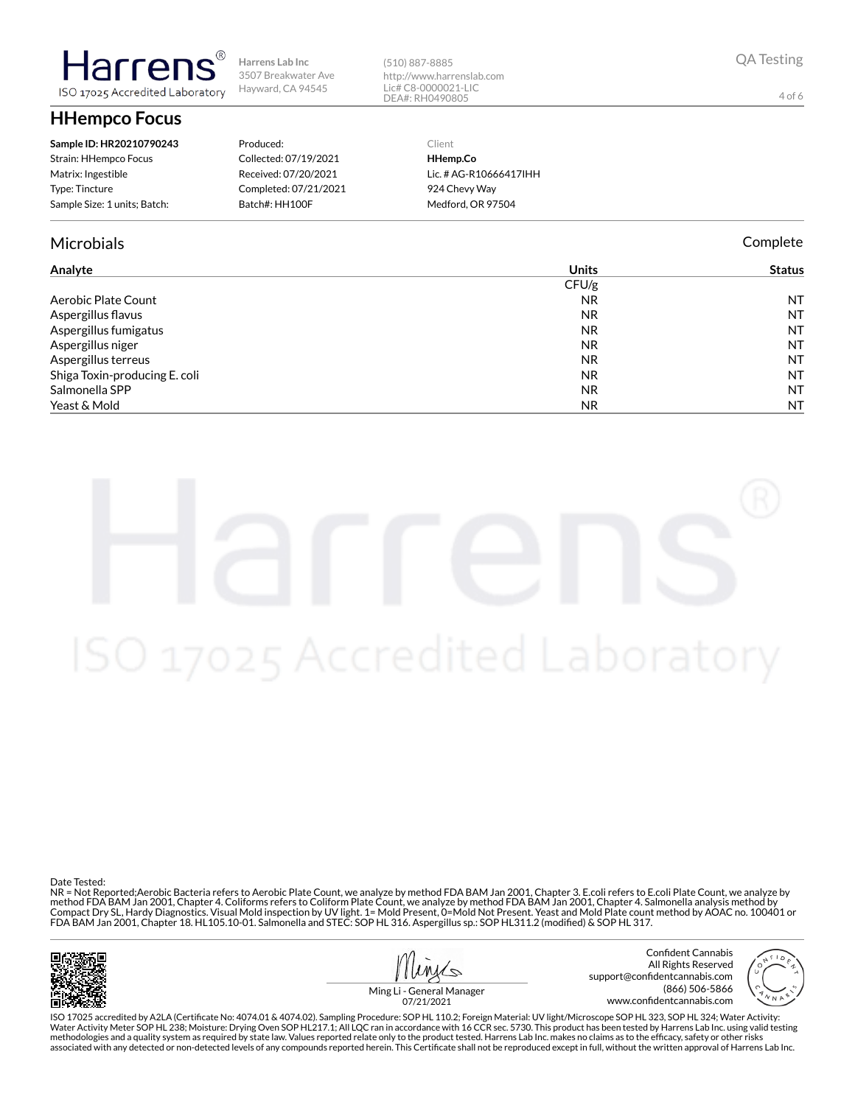**HHempco Focus**

larrer

ISO 17025 Accredited Laboratory

| Sample ID: HR20210790243     | Produced:             |
|------------------------------|-----------------------|
| Strain: HHempco Focus        | Collected: 07/19/2021 |
| Matrix: Ingestible           | Received: 07/20/2021  |
| <b>Type: Tincture</b>        | Completed: 07/21/2021 |
| Sample Size: 1 units; Batch: | Batch#: HH100F        |

## Microbials Complete

### **Analyte Units Status** CFU/g Aerobic Plate Count NR NT NT NT NR NT NR NT NR NT NR NT NR NT NR NT NR NT NR NT NR NT NR NT NR NT NR NT NR NT N Aspergillus flavus and the contract of the contract of the contract of the contract of the contract of the contract of the contract of the contract of the contract of the contract of the contract of the contract of the con Aspergillus fumigatus NR NT Aspergillus niger NR NT Aspergillus terreus NT Shiga Toxin-producing E. coli NR NT salmonella SPP and the second second second second second second second second second second second second second second second second second second second second second second second second second second second second sec Yeast & Mold NR NT NR NT NR NT NR NT NR NT NR NT NR NT NR NT NR NT NR NT NR NT NR NT NR NT NR NT NR NT NR NT N

(510) 887-8885

http://www.harrenslab.com Lic# C8-0000021-LIC DEA#: RH0490805

> Client **HHemp.Co**

Lic. # AG-R10666417IHH 924 Chevy Way Medford, OR 97504

Date Tested:

NR = Not Reported;Aerobic Bacteria refers to Aerobic Plate Count, we analyze by method FDA BAM Jan 2001, Chapter 3. E.coli refers to E.coli Plate Count, we analyze by method FDA BAM Jan 2001, Chapter 4. Coliforms refers to Coliform Plate Count, we analyze by method FDA BAM Jan 2001, Chapter 4. Salmonella analysis method by Compact Dry SL, Hardy Diagnostics. Visual Mold inspection by UV light. 1= Mold Present, 0=Mold Not Present. Yeast and Mold Plate count method by AOAC no. 100401 or<br>FDA BAM Jan 2001, Chapter 18. HL105.10-01. Salmonella and



Confident Cannabis All Rights Reserved support@confidentcannabis.com (866) 506-5866 www.confidentcannabis.com

4 of 6

Ming Li - General Manager 07/21/2021

ISO 17025 accredited by A2LA (Certicate No: 4074.01 & 4074.02). Sampling Procedure: SOP HL 110.2; Foreign Material: UV light/Microscope SOP HL 323, SOP HL 324; Water Activity: Water Activity Meter SOP HL 238; Moisture: Drying Oven SOP HL217.1; All LQC ran in accordance with 16 CCR sec. 5730. This product has been tested by Harrens Lab Inc. using valid testing methodologies and a quality system as required by state law. Values reported relate only to the product tested. Harrens Lab Inc. makes no claims as to the efficacy, safety or other risks<br>associated with any detected or non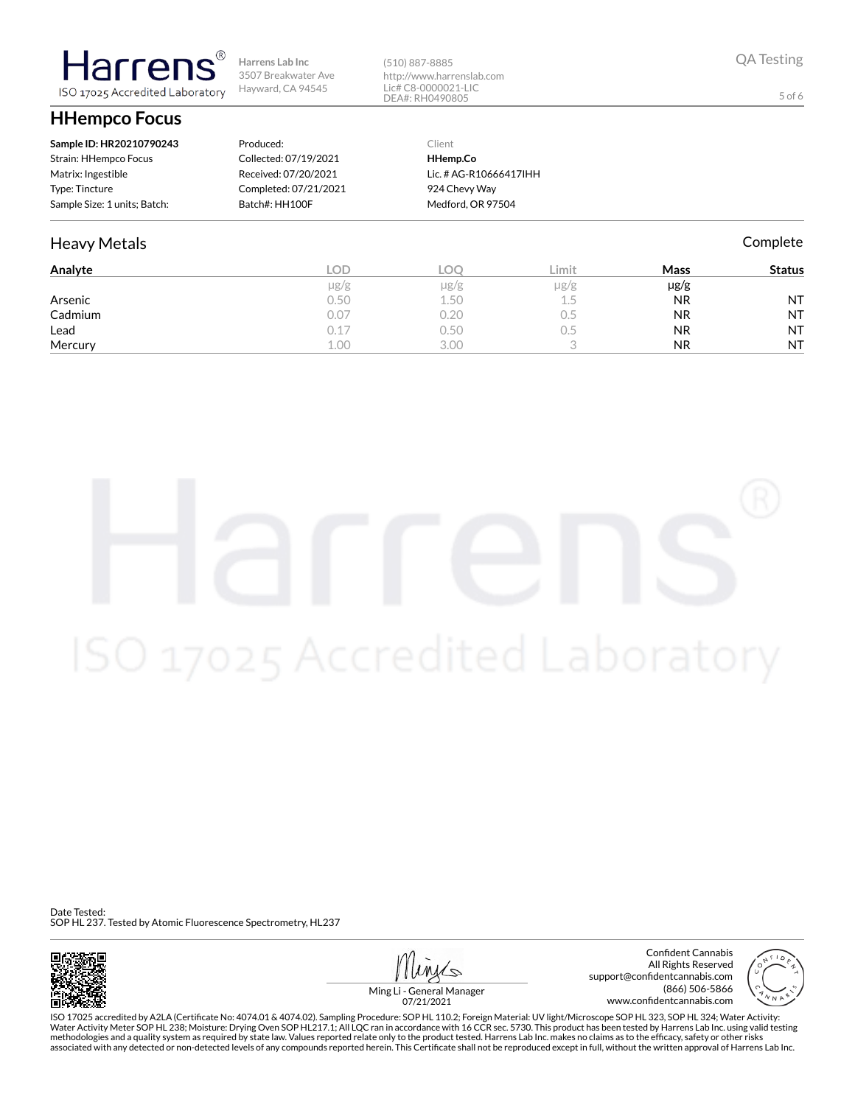**HHempco Focus**

**Harrens** ISO 17025 Accredited Laboratory

| Sample ID: HR20210790243     | Produced:             | Client                 |
|------------------------------|-----------------------|------------------------|
| Strain: HHempco Focus        | Collected: 07/19/2021 | HHemp.Co               |
| Matrix: Ingestible           | Received: 07/20/2021  | Lic. # AG-R10666417IHH |
| Type: Tincture               | Completed: 07/21/2021 | 924 Chevy Way          |
| Sample Size: 1 units; Batch: | Batch#: HH100F        | Medford, OR 97504      |

## Heavy Metals **Complete**

| Analyte | LOD.      | LOC  | Limit     | Mass      | <b>Status</b> |
|---------|-----------|------|-----------|-----------|---------------|
|         | $\mu$ g/g | µg/g | $\mu$ g/g | µg/g      |               |
| Arsenic | 0.50      | 1.50 | 1.5       | <b>NR</b> | <b>NT</b>     |
| Cadmium | 0.07      | 0.20 | U.5       | <b>NR</b> | <b>NT</b>     |
| Lead    | 0.17      | 0.50 | U.5       | <b>NR</b> | <b>NT</b>     |
| Mercury | 1.00      | 3.00 |           | <b>NR</b> | <b>NT</b>     |

(510) 887-8885

http://www.harrenslab.com Lic# C8-0000021-LIC DEA#: RH0490805

Date Tested: SOP HL 237. Tested by Atomic Fluorescence Spectrometry, HL237



Confident Cannabis All Rights Reserved support@confidentcannabis.com (866) 506-5866 www.confidentcannabis.com



Ming Li - General Manager 07/21/2021

ISO 17025 accredited by A2LA (Certicate No: 4074.01 & 4074.02). Sampling Procedure: SOP HL 110.2; Foreign Material: UV light/Microscope SOP HL 323, SOP HL 324; Water Activity: Water Activity Meter SOP HL 238; Moisture: Drying Oven SOP HL217.1; All LQC ran in accordance with 16 CCR sec. 5730. This product has been tested by Harrens Lab Inc. using valid testing methodologies and a quality system as required by state law. Values reported relate only to the product tested. Harrens Lab Inc. makes no claims as to the efficacy, safety or other risks<br>associated with any detected or non